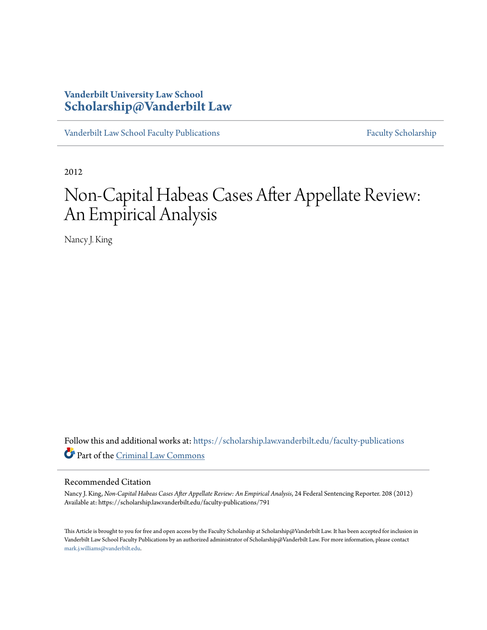## **Vanderbilt University Law School [Scholarship@Vanderbilt Law](https://scholarship.law.vanderbilt.edu?utm_source=scholarship.law.vanderbilt.edu%2Ffaculty-publications%2F791&utm_medium=PDF&utm_campaign=PDFCoverPages)**

[Vanderbilt Law School Faculty Publications](https://scholarship.law.vanderbilt.edu/faculty-publications?utm_source=scholarship.law.vanderbilt.edu%2Ffaculty-publications%2F791&utm_medium=PDF&utm_campaign=PDFCoverPages) [Faculty Scholarship](https://scholarship.law.vanderbilt.edu/faculty-scholarship?utm_source=scholarship.law.vanderbilt.edu%2Ffaculty-publications%2F791&utm_medium=PDF&utm_campaign=PDFCoverPages)

2012

# Non-Capital Habeas Cases After Appellate Review: An Empirical Analysis

Nancy J. King

Follow this and additional works at: [https://scholarship.law.vanderbilt.edu/faculty-publications](https://scholarship.law.vanderbilt.edu/faculty-publications?utm_source=scholarship.law.vanderbilt.edu%2Ffaculty-publications%2F791&utm_medium=PDF&utm_campaign=PDFCoverPages) Part of the [Criminal Law Commons](http://network.bepress.com/hgg/discipline/912?utm_source=scholarship.law.vanderbilt.edu%2Ffaculty-publications%2F791&utm_medium=PDF&utm_campaign=PDFCoverPages)

## Recommended Citation

Nancy J. King, *Non-Capital Habeas Cases After Appellate Review: An Empirical Analysis*, 24 Federal Sentencing Reporter. 208 (2012) Available at: https://scholarship.law.vanderbilt.edu/faculty-publications/791

This Article is brought to you for free and open access by the Faculty Scholarship at Scholarship@Vanderbilt Law. It has been accepted for inclusion in Vanderbilt Law School Faculty Publications by an authorized administrator of Scholarship@Vanderbilt Law. For more information, please contact [mark.j.williams@vanderbilt.edu](mailto:mark.j.williams@vanderbilt.edu).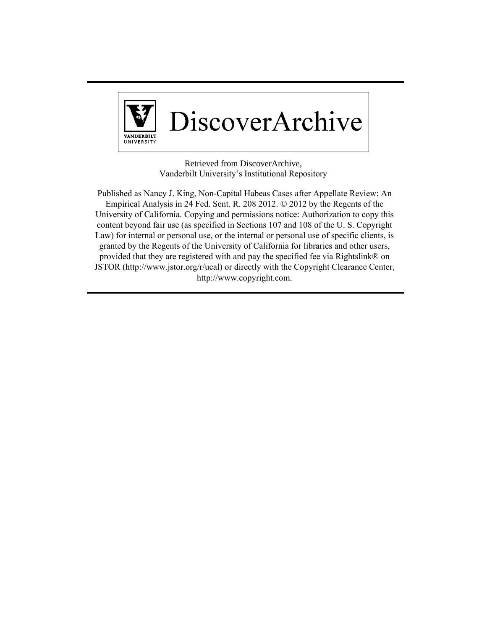

Retrieved from DiscoverArchive, Vanderbilt University's Institutional Repository

Published as Nancy J. King, Non-Capital Habeas Cases after Appellate Review: An Empirical Analysis in 24 Fed. Sent. R. 208 2012. © 2012 by the Regents of the University of California. Copying and permissions notice: Authorization to copy this content beyond fair use (as specified in Sections 107 and 108 of the U. S. Copyright Law) for internal or personal use, or the internal or personal use of specific clients, is granted by the Regents of the University of California for libraries and other users, provided that they are registered with and pay the specified fee via Rightslink® on JSTOR (http://www.jstor.org/r/ucal) or directly with the Copyright Clearance Center, http://www.copyright.com.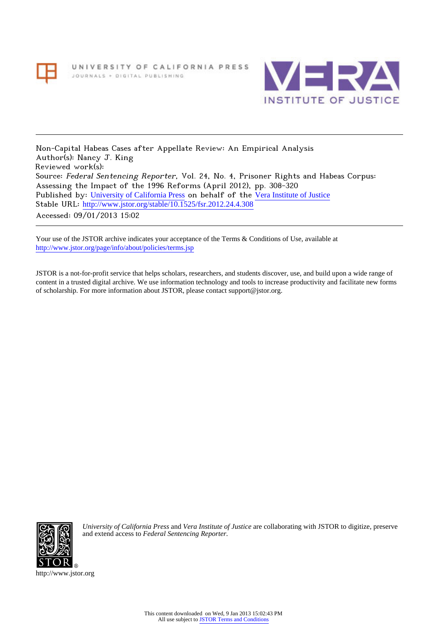

UNIVERSITY OF CALIFORNIA PRESS JOURNALS + DIGITAL PUBLISHING



Non-Capital Habeas Cases after Appellate Review: An Empirical Analysis Author(s): Nancy J. King Reviewed work(s): Source: Federal Sentencing Reporter, Vol. 24, No. 4, Prisoner Rights and Habeas Corpus: Assessing the Impact of the 1996 Reforms (April 2012), pp. 308-320 Published by: [University of California Press](http://www.jstor.org/action/showPublisher?publisherCode=ucal) on behalf of the [Vera Institute of Justice](http://www.jstor.org/action/showPublisher?publisherCode=vera) Stable URL: [http://www.jstor.org/stable/10.1525/fsr.2012.24.4.308](http://www.jstor.org/stable/10.1525/fsr.2012.24.4.308?origin=JSTOR-pdf) . Accessed: 09/01/2013 15:02

Your use of the JSTOR archive indicates your acceptance of the Terms & Conditions of Use, available at <http://www.jstor.org/page/info/about/policies/terms.jsp>

JSTOR is a not-for-profit service that helps scholars, researchers, and students discover, use, and build upon a wide range of content in a trusted digital archive. We use information technology and tools to increase productivity and facilitate new forms of scholarship. For more information about JSTOR, please contact support@jstor.org.



*University of California Press* and *Vera Institute of Justice* are collaborating with JSTOR to digitize, preserve and extend access to *Federal Sentencing Reporter.*

http://www.jstor.org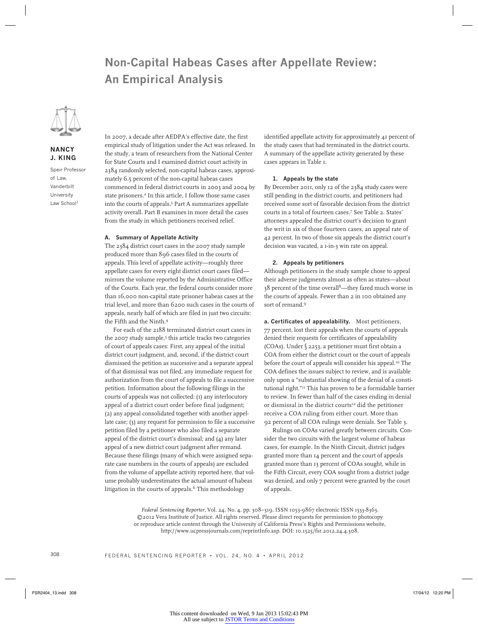## **Non-Capital Habeas Cases after Appellate Review: An Empirical Analysis**



## **Nancy J. King**

Speir Professor of Law, Vanderbilt University Law School<sup>1</sup>

In 2007, a decade after AEDPA's effective date, the first empirical study of litigation under the Act was released. In the study, a team of researchers from the National Center for State Courts and I examined district court activity in 2384 randomly selected, non-capital habeas cases, approximately 6.5 percent of the non-capital habeas cases commenced in federal district courts in 2003 and 2004 by state prisoners.<sup>2</sup> In this article, I follow those same cases into the courts of appeals.3 Part A summarizes appellate activity overall. Part B examines in more detail the cases from the study in which petitioners received relief.

## **A. Summary of Appellate Activity**

The 2384 district court cases in the 2007 study sample produced more than 896 cases filed in the courts of appeals. This level of appellate activity—roughly three appellate cases for every eight district court cases filed mirrors the volume reported by the Administrative Office of the Courts. Each year, the federal courts consider more than 16,000 non-capital state prisoner habeas cases at the trial level, and more than 6200 such cases in the courts of appeals, nearly half of which are filed in just two circuits: the Fifth and the Ninth.4

For each of the 2188 terminated district court cases in the 2007 study sample,<sup>5</sup> this article tracks two categories of court of appeals cases: First, any appeal of the initial district court judgment, and, second, if the district court dismissed the petition as successive and a separate appeal of that dismissal was not filed, any immediate request for authorization from the court of appeals to file a successive petition. Information about the following filings in the courts of appeals was not collected: (1) any interlocutory appeal of a district court order before final judgment; (2) any appeal consolidated together with another appellate case; (3) any request for permission to file a successive petition filed by a petitioner who also filed a separate appeal of the district court's dismissal; and (4) any later appeal of a new district court judgment after remand. Because these filings (many of which were assigned separate case numbers in the courts of appeals) are excluded from the volume of appellate activity reported here, that volume probably underestimates the actual amount of habeas litigation in the courts of appeals.<sup>6</sup> This methodology

identified appellate activity for approximately 41 percent of the study cases that had terminated in the district courts. A summary of the appellate activity generated by these cases appears in Table 1.

## **1. Appeals by the state**

By December 2011, only 12 of the 2384 study cases were still pending in the district courts, and petitioners had received some sort of favorable decision from the district courts in a total of fourteen cases.7 See Table 2. States' attorneys appealed the district court's decision to grant the writ in six of those fourteen cases, an appeal rate of 42 percent. In two of those six appeals the district court's decision was vacated, a 1-in-3 win rate on appeal.

## **2. Appeals by petitioners**

Although petitioners in the study sample chose to appeal their adverse judgments almost as often as states—about 38 percent of the time overall8—they fared much worse in the courts of appeals. Fewer than 2 in 100 obtained any sort of remand.<sup>9</sup>

**a. Certificates of appealability.** Most petitioners, 77 percent, lost their appeals when the courts of appeals denied their requests for certificates of appealability (COAs). Under § 2253, a petitioner must first obtain a COA from either the district court or the court of appeals before the court of appeals will consider his appeal.<sup>10</sup> The COA defines the issues subject to review, and is available only upon a "substantial showing of the denial of a constitutional right."11 This has proven to be a formidable barrier to review. In fewer than half of the cases ending in denial or dismissal in the district courts<sup>12</sup> did the petitioner receive a COA ruling from either court. More than 92 percent of all COA rulings were denials. See Table 3.

Rulings on COAs varied greatly between circuits. Consider the two circuits with the largest volume of habeas cases, for example. In the Ninth Circuit, district judges granted more than 14 percent and the court of appeals granted more than 13 percent of COAs sought, while in the Fifth Circuit, every COA sought from a district judge was denied, and only 7 percent were granted by the court of appeals.

*Federal Sentencing Reporter,* Vol. 24, No. 4, pp. 308–319, ISSN 1053-9867 electronic ISSN 1533-8363. ©2012 Vera Institute of Justice. All rights reserved. Please direct requests for permission to photocopy or reproduce article content through the University of California Press's Rights and Permissions website, http://www.ucpressjournals.com/reprintInfo.asp. DOI: 10.1525/fsr.2012.24.4.308.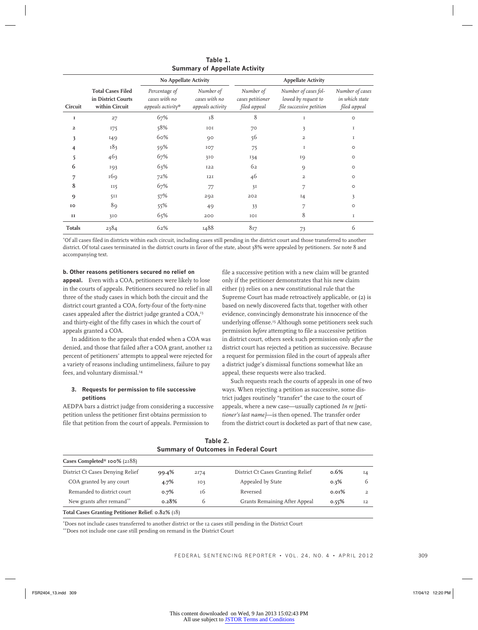**Table 1. Summary of Appellate Activity** 

|               |                                                                  | No Appellate Activity                               |                                                | <b>Appellate Activity</b>                     |                                                                         |                                                   |  |  |
|---------------|------------------------------------------------------------------|-----------------------------------------------------|------------------------------------------------|-----------------------------------------------|-------------------------------------------------------------------------|---------------------------------------------------|--|--|
| Circuit       | <b>Total Cases Filed</b><br>in District Courts<br>within Circuit | Percentage of<br>cases with no<br>appeals activity* | Number of<br>cases with no<br>appeals activity | Number of<br>cases petitioner<br>filed appeal | Number of cases fol-<br>lowed by request to<br>file successive petition | Number of cases<br>in which state<br>filed appeal |  |  |
| $\mathbf I$   | 27                                                               | 67%                                                 | 18                                             | 8                                             | $\mathbf I$                                                             | $\circ$                                           |  |  |
| $\mathbf{2}$  | 175                                                              | 58%                                                 | IOI                                            | 70                                            | $\overline{3}$                                                          | $\mathbf I$                                       |  |  |
| $\mathbf{3}$  | 149                                                              | 60%                                                 | QO                                             | 56                                            | 2                                                                       | I                                                 |  |  |
| 4             | 183                                                              | 59%                                                 | IO7                                            | 75                                            | $\mathbf I$                                                             | $\circ$                                           |  |  |
| 5             | 463                                                              | 67%                                                 | 310                                            | 134                                           | 19                                                                      | $\circ$                                           |  |  |
| 6             | 193                                                              | 63%                                                 | <b>I22</b>                                     | 62                                            | 9                                                                       | $\circ$                                           |  |  |
| 7             | 169                                                              | 72%                                                 | <b>I2I</b>                                     | 46                                            | 2                                                                       | $\circ$                                           |  |  |
| 8             | <b>II5</b>                                                       | 67%                                                 | 77                                             | 3I                                            | 7                                                                       | $\circ$                                           |  |  |
| $\mathbf{Q}$  | 5II                                                              | 57%                                                 | 292                                            | 202                                           | $I_4$                                                                   | 3                                                 |  |  |
| IO            | 89                                                               | 55%                                                 | 49                                             | 33                                            | 7                                                                       | $\circ$                                           |  |  |
| $_{\rm II}$   | 310                                                              | 65%                                                 | 200                                            | IOI                                           | 8                                                                       | I                                                 |  |  |
| <b>Totals</b> | 2384                                                             | 62%                                                 | 1488                                           | 817                                           | 73                                                                      | 6                                                 |  |  |

\*Of all cases filed in districts within each circuit, including cases still pending in the district court and those transferred to another district. Of total cases terminated in the district courts in favor of the state, about 38% were appealed by petitioners. *See* note 8 and accompanying text.

#### **b. Other reasons petitioners secured no relief on**

**appeal.** Even with a COA, petitioners were likely to lose in the courts of appeals. Petitioners secured no relief in all three of the study cases in which both the circuit and the district court granted a COA, forty-four of the forty-nine cases appealed after the district judge granted a COA,<sup>13</sup> and thirty-eight of the fifty cases in which the court of appeals granted a COA.

In addition to the appeals that ended when a COA was denied, and those that failed after a COA grant, another 12 percent of petitioners' attempts to appeal were rejected for a variety of reasons including untimeliness, failure to pay fees, and voluntary dismissal.14

#### **3. Requests for permission to file successive petitions**

AEDPA bars a district judge from considering a successive petition unless the petitioner first obtains permission to file that petition from the court of appeals. Permission to

file a successive petition with a new claim will be granted only if the petitioner demonstrates that his new claim either (1) relies on a new constitutional rule that the Supreme Court has made retroactively applicable, or (2) is based on newly discovered facts that, together with other evidence, convincingly demonstrate his innocence of the underlying offense.<sup>15</sup> Although some petitioners seek such permission *before* attempting to file a successive petition in district court, others seek such permission only *after* the district court has rejected a petition as successive. Because a request for permission filed in the court of appeals after a district judge's dismissal functions somewhat like an appeal, these requests were also tracked.

Such requests reach the courts of appeals in one of two ways. When rejecting a petition as successive, some district judges routinely "transfer" the case to the court of appeals, where a new case—usually captioned *In re [petitioner's last name]*—is then opened. The transfer order from the district court is docketed as part of that new case,

| Table 2.                                    |       |      |                                   |         |                |  |  |  |
|---------------------------------------------|-------|------|-----------------------------------|---------|----------------|--|--|--|
| <b>Summary of Outcomes in Federal Court</b> |       |      |                                   |         |                |  |  |  |
| Cases Completed* $100\%$ (2188)             |       |      |                                   |         |                |  |  |  |
| District Ct Cases Denying Relief            | 99.4% | 2174 | District Ct Cases Granting Relief | $0.6\%$ | $I_4$          |  |  |  |
| COA granted by any court                    | 4.7%  | IO3  | Appealed by State                 | 0.3%    | $\sigma$       |  |  |  |
| Remanded to district court                  | 0.7%  | тб   | Reversed                          | 0.01%   | $\overline{a}$ |  |  |  |
| New grants after remand**                   | 0.28% | 6    | Grants Remaining After Appeal     | 0.55%   | I <sub>2</sub> |  |  |  |

**Total Cases Granting Petitioner Relief: 0.82%** (18)

\* Does not include cases transferred to another district or the 12 cases still pending in the District Court

\*\*Does not include one case still pending on remand in the District Court

Federal Sentencing Reporter • Vol. 24, No. 4 • April 2012 309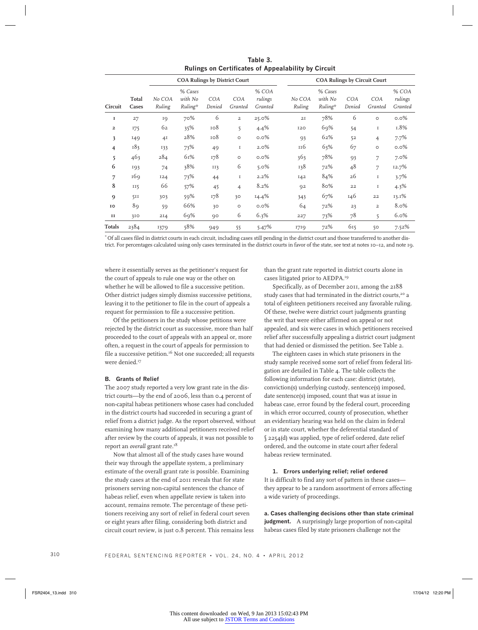| Table 3.                                                   |
|------------------------------------------------------------|
| <b>Rulings on Certificates of Appealability by Circuit</b> |

|                |                |                  | <b>COA Rulings by District Court</b> |               |                |                             |                  | <b>COA Rulings by Circuit Court</b> |               |                |                             |
|----------------|----------------|------------------|--------------------------------------|---------------|----------------|-----------------------------|------------------|-------------------------------------|---------------|----------------|-----------------------------|
| Circuit        | Total<br>Cases | No COA<br>Ruling | % Cases<br>with No<br>Ruling*        | COA<br>Denied | COA<br>Granted | % COA<br>rulings<br>Granted | No COA<br>Ruling | % Cases<br>with No<br>Ruling*       | COA<br>Denied | COA<br>Granted | % COA<br>rulings<br>Granted |
| 1              | 27             | 19               | 70%                                  | 6             | $\overline{a}$ | 25.0%                       | 2I               | 78%                                 | 6             | $\circ$        | $0.0\%$                     |
| $\mathbf{2}$   | 175            | 62               | 35%                                  | 108           | 5              | 4.4%                        | <b>I20</b>       | 69%                                 | 54            | 1              | 1.8%                        |
| 3              | 149            | 4 <sub>I</sub>   | 28%                                  | 108           | $\circ$        | $0.0\%$                     | 93               | 62%                                 | 52            | $\overline{4}$ | 7.7%                        |
| $\overline{4}$ | 183            | 133              | 73%                                  | 49            | $\mathbf I$    | 2.0%                        | 116              | 63%                                 | 67            | $\circ$        | $0.0\%$                     |
| 5              | 463            | 284              | 61%                                  | 178           | $\circ$        | $0.0\%$                     | 363              | 78%                                 | 93            | 7              | $7.0\%$                     |
| 6              | 193            | 74               | 38%                                  | II3           | 6              | 5.0%                        | 138              | 72%                                 | 48            | 7              | 12.7%                       |
| 7              | 169            | <b>I24</b>       | 73%                                  | 44            | $\mathbf I$    | 2.2%                        | 142              | 84%                                 | 26            | $\mathbf I$    | 3.7%                        |
| 8              | II5            | 66               | 57%                                  | 45            | $\overline{4}$ | 8.2%                        | Q2               | 80%                                 | 22            | $\mathbf I$    | $4.3\%$                     |
| 9              | 5II            | 303              | 59%                                  | 178           | 30             | 14.4%                       | 343              | 67%                                 | 146           | 22             | 13.1%                       |
| IO             | 89             | 59               | 66%                                  | 30            | $\circ$        | 0.0%                        | 64               | 72%                                 | 23            | $\overline{a}$ | 8.0%                        |
| $_{\rm II}$    | 3IO            | 214              | 69%                                  | QO            | 6              | $6.3\%$                     | 227              | 73%                                 | 78            | 5              | 6.0%                        |
| Totals         | 2384           | 1379             | 58%                                  | 949           | 55             | 5.47%                       | 1719             | 72%                                 | 615           | 50             | 7.52%                       |

\* Of all cases filed in district courts in each circuit, including cases still pending in the district court and those transferred to another district. For percentages calculated using only cases terminated in the district courts in favor of the state, see text at notes 10-12, and note 19.

where it essentially serves as the petitioner's request for the court of appeals to rule one way or the other on whether he will be allowed to file a successive petition. Other district judges simply dismiss successive petitions, leaving it to the petitioner to file in the court of appeals a request for permission to file a successive petition.

Of the petitioners in the study whose petitions were rejected by the district court as successive, more than half proceeded to the court of appeals with an appeal or, more often, a request in the court of appeals for permission to file a successive petition.<sup>16</sup> Not one succeeded; all requests were denied<sup>17</sup>

#### **B. Grants of Relief**

The 2007 study reported a very low grant rate in the district courts—by the end of 2006, less than 0.4 percent of non-capital habeas petitioners whose cases had concluded in the district courts had succeeded in securing a grant of relief from a district judge. As the report observed, without examining how many additional petitioners received relief after review by the courts of appeals, it was not possible to report an *overall* grant rate.18

Now that almost all of the study cases have wound their way through the appellate system, a preliminary estimate of the overall grant rate is possible. Examining the study cases at the end of 2011 reveals that for state prisoners serving non-capital sentences the chance of habeas relief, even when appellate review is taken into account, remains remote. The percentage of these petitioners receiving any sort of relief in federal court seven or eight years after filing, considering both district and circuit court review, is just 0.8 percent. This remains less than the grant rate reported in district courts alone in cases litigated prior to AEDPA.19

Specifically, as of December 2011, among the 2188 study cases that had terminated in the district courts,<sup>20</sup> a total of eighteen petitioners received any favorable ruling. Of these, twelve were district court judgments granting the writ that were either affirmed on appeal or not appealed, and six were cases in which petitioners received relief after successfully appealing a district court judgment that had denied or dismissed the petition. See Table 2.

The eighteen cases in which state prisoners in the study sample received some sort of relief from federal litigation are detailed in Table 4. The table collects the following information for each case: district (state), conviction(s) underlying custody, sentence(s) imposed, date sentence(s) imposed, count that was at issue in habeas case, error found by the federal court, proceeding in which error occurred, county of prosecution, whether an evidentiary hearing was held on the claim in federal or in state court, whether the deferential standard of § 2254(d) was applied, type of relief ordered, date relief ordered, and the outcome in state court after federal habeas review terminated.

## **1. Errors underlying relief; relief ordered** It is difficult to find any sort of pattern in these cases they appear to be a random assortment of errors affecting a wide variety of proceedings.

**a. Cases challenging decisions other than state criminal judgment.** A surprisingly large proportion of non-capital habeas cases filed by state prisoners challenge not the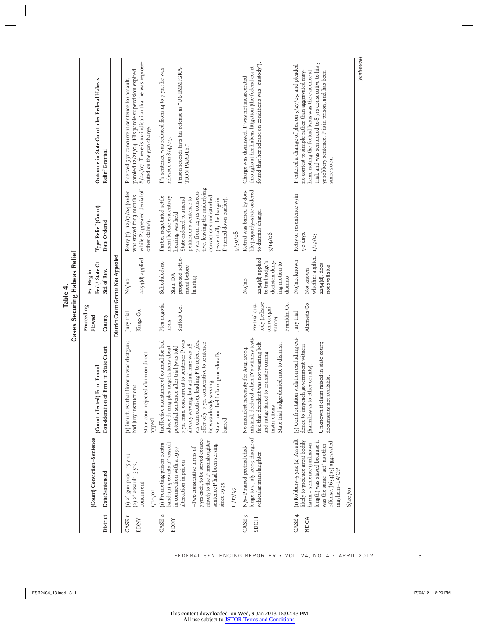|                                   |                                                                                                                                                                                                                                                                     |                                                                                                                                                                                                                                                                                                                                                                                                     |                                                                         | <b>Cases Securing Habeas Relief</b><br>Table 4                                             |                                                                                                                                                                                                                                                                                  |                                                                                                                                                                                                                                                                                           |
|-----------------------------------|---------------------------------------------------------------------------------------------------------------------------------------------------------------------------------------------------------------------------------------------------------------------|-----------------------------------------------------------------------------------------------------------------------------------------------------------------------------------------------------------------------------------------------------------------------------------------------------------------------------------------------------------------------------------------------------|-------------------------------------------------------------------------|--------------------------------------------------------------------------------------------|----------------------------------------------------------------------------------------------------------------------------------------------------------------------------------------------------------------------------------------------------------------------------------|-------------------------------------------------------------------------------------------------------------------------------------------------------------------------------------------------------------------------------------------------------------------------------------------|
| District                          | (Count) Conviction-Sentence<br>Date Sentenced                                                                                                                                                                                                                       | Consideration of Error in State Court<br>(Count affected) Error Found                                                                                                                                                                                                                                                                                                                               | Proceeding<br>Flawed<br>County                                          | Fed./ State Ct<br>Std of Rev.<br>Ev. Hrg in                                                | Type Relief (Count)<br>Date Ordered                                                                                                                                                                                                                                              | Outcome in State Court after Federal Habeas<br>Relief Granted                                                                                                                                                                                                                             |
|                                   |                                                                                                                                                                                                                                                                     |                                                                                                                                                                                                                                                                                                                                                                                                     |                                                                         | District Court Grants Not Appealed                                                         |                                                                                                                                                                                                                                                                                  |                                                                                                                                                                                                                                                                                           |
| CASE <sub>I</sub><br><b>EDNY</b>  | (1) $2^{\circ}$ gun poss.-15 yrs;<br>$(2)$ $2^{\circ}$ assault-5 yrs,<br>concurrent<br>1/10/01                                                                                                                                                                      | (1) insuff. ev. that firearm was shotgun;<br>direct<br>State court rejected claim on<br>bad jury instructions.<br>appeal.                                                                                                                                                                                                                                                                           | Kings Co.<br>Jury trial                                                 | 2254(d) applied<br>No/no                                                                   | while P appealed denial of<br>Retry (1) - 12/17/04 (order<br>was stayed for 3 months<br>other claims).                                                                                                                                                                           | $8/24/$ 07. There is no indication that he was reprose-<br>paroled 12/21/04. His parole supervision expired<br>P served 5-yr concurrent sentence for assault,<br>cuted on the gun charge.                                                                                                 |
| CASE <sub>2</sub><br><b>EDNY</b>  | 7 yrs each, to be served consec-<br>utively to the 1° manslaughter<br>band; (2) 5 counts 2° assault<br>(1) Promoting prison contra-<br>sentence P had been serving<br>-Two consecutive terms of<br>in connection with a 1997<br>altercation in prison<br>since 1995 | 7 yrs max, concurrent to sentence P was<br>Ineffective assistance of counsel for bad<br>yrs consecutive), leading P to reject plea<br>offer of 5-7 yrs consecutive to sentence<br>already serving, but actual max was 28<br>advice during plea negotiations about<br>(was told<br>State court held claim procedurally<br>potential sentence after trial<br>he was already serving.<br><b>barred</b> | Plea negotia-<br>Suffolk Co.<br>tions                                   | proposed settle-<br>Scheduled/no<br>ment before<br>State DA<br>hearing                     | tive, leaving the underlying<br>7 yrs from 14 yrs consecu-<br>Parties negotiated settle-<br>convictions undisturbed<br>ment before evidentiary<br>State ordered to amend<br>petitioner's sentence to<br>(essentially the bargain<br>P turned down earlier).<br>hearing was held- | Prison records lists his release as "US IMMIGRA-<br>P's sentence was reduced from 14 to 7 yrs; he was<br>released on 8/4/09.<br>TION PAROLE."                                                                                                                                             |
|                                   | 11/17/97                                                                                                                                                                                                                                                            |                                                                                                                                                                                                                                                                                                                                                                                                     |                                                                         |                                                                                            | 9/30/08                                                                                                                                                                                                                                                                          |                                                                                                                                                                                                                                                                                           |
| CASE <sub>3</sub><br><b>HOCIS</b> | lenge to a July 2003 charge of<br>N/a-P raised pretrial chal-<br>vehicular manslaughter                                                                                                                                                                             | mistrial, declared when D's witness testi-<br>fied that decedent was not wearing belt<br>to dismiss.<br>1g. 2004<br>curing<br>No manifest necessity for Au<br>and judge failed to consider<br>State trial judge denied mo.<br>instructions.                                                                                                                                                         | Franklin Co.<br>tody (release<br>Pretrial cus-<br>on recogni-<br>zance) | 2254(d) applied<br>to trial judge's<br>decision deny-<br>ing motion to<br>dismiss<br>No/no | ble jeopardy-state ordered<br>Retrial was barred by dou-<br>to dismiss charge.<br>3/14/06                                                                                                                                                                                        | found that her release on conditions was "custody").<br>throughout her habeas litigation (the federal court<br>Charge was dismissed. P was not incarcerated                                                                                                                               |
| CASE 4<br><b>NDCA</b>             | (1) Robbery-5 yrs; (2) Assault<br>likely to produce great bodily<br>length) was stayed because it<br>offense, §654);(3) aggravated<br>harm – sentence (unknown<br>was the same "act" as other<br>mayhem-LWOP<br>6/20/01                                             | (3) Confrontation violation excluding evi-<br>state court;<br>dence to impeach government witness<br>(harmless as to other counts)<br>Unknown if claim raised in<br>documents not available.                                                                                                                                                                                                        | Alameda Co.<br>Jury trial                                               | whether applied<br>No/not known<br>2254(d), docs<br>not available<br>Not known             | Retry or resentence w/in<br>90 days.<br>1/19/05                                                                                                                                                                                                                                  | trial, and was sentenced to 8 yrs consecutive to his 5<br>P entered a change of plea on 5/27/05, and pleaded<br>hem, noting the factual basis was the evidence at<br>no contest to simple rather than aggravated may-<br>yr robbery sentence. P is in prison, and has been<br>since 2001. |
|                                   |                                                                                                                                                                                                                                                                     |                                                                                                                                                                                                                                                                                                                                                                                                     |                                                                         |                                                                                            |                                                                                                                                                                                                                                                                                  | (continued)                                                                                                                                                                                                                                                                               |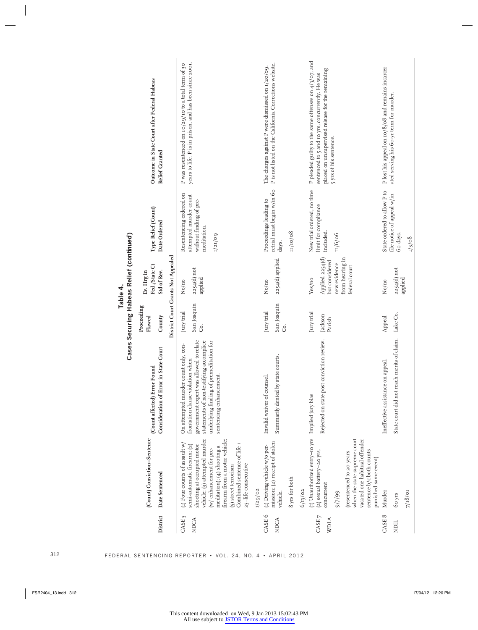|                                  |                                                                                                                                                                                                                                                                                                         |                                                                                                                                                                                                                                      |                                  | Table 4.                                                    |                                                                                                        |                                                                                                                                                                                       |
|----------------------------------|---------------------------------------------------------------------------------------------------------------------------------------------------------------------------------------------------------------------------------------------------------------------------------------------------------|--------------------------------------------------------------------------------------------------------------------------------------------------------------------------------------------------------------------------------------|----------------------------------|-------------------------------------------------------------|--------------------------------------------------------------------------------------------------------|---------------------------------------------------------------------------------------------------------------------------------------------------------------------------------------|
|                                  |                                                                                                                                                                                                                                                                                                         |                                                                                                                                                                                                                                      |                                  | Cases Securing Habeas Relief (continued)                    |                                                                                                        |                                                                                                                                                                                       |
| District                         | (Count) Conviction-Sentence<br>Date Sentenced                                                                                                                                                                                                                                                           | Consideration of Error in State Court<br>(Count affected) Error Found                                                                                                                                                                | Proceeding<br>Flawed<br>County   | Fed./State Ct<br>Std of Rev.<br>Ev. Hrg in                  | Type Relief (Count)<br>Date Ordered                                                                    | Outcome in State Court after Federal Habeas<br>Relief Granted                                                                                                                         |
|                                  |                                                                                                                                                                                                                                                                                                         |                                                                                                                                                                                                                                      |                                  | District Court Grants Not Appealed                          |                                                                                                        |                                                                                                                                                                                       |
| CASE <sub>5</sub><br><b>NDCA</b> | vehicle; (3) attempted murder<br>firearm from a motor vehicle;<br>Combined sentence of life +<br>(1) Four counts of assault $w/$<br>shooting at occupied motor<br>semi-automatic firearm; (2)<br>meditation); (4) shooting a<br>(w/ enhancement for pre-<br>25-life consecutive<br>(5) street terrorism | government expert was allowed to relate<br>statements of non-testifying accomplice<br>underlying finding of premeditation for<br>On attempted murder count only, con-<br>frontation clause violation when<br>sentencing enhancement. | San Joaquin<br>Jury trial<br>Co. | 2254(d) not<br>applied<br>No/no                             | Resentencing ordered on<br>attempted murder count<br>without finding of pre-<br>meditation.<br>I/2I/09 | years to life. P is in prison, and has been since 2001.<br>P was resentenced on 10/29/10 to a total term of 30                                                                        |
| CASE 6<br>NDCA                   | mission; (2) receipt of stolen<br>(1) Driving vehicle w/o per-<br>8 yrs for both<br>1/29/02<br>vehicle.                                                                                                                                                                                                 | courts.<br>Summarily denied by state<br>Invalid waiver of counsel.                                                                                                                                                                   | San Joaquin<br>Jury trial<br>Ċo. | 2254(d) applied<br>No/no                                    | retrial must begin w/in 60<br>Proceedings leading to<br>11/10/08<br>days.                              | P is not listed on the California Corrections website.<br>The charges against P were dismissed on 1/20/09.                                                                            |
|                                  | 6/13/02                                                                                                                                                                                                                                                                                                 |                                                                                                                                                                                                                                      |                                  |                                                             |                                                                                                        |                                                                                                                                                                                       |
| CASE <sub>7</sub><br><b>WDLA</b> | (1) Unauthorized entry-10 yrs<br>(2) sexual battery-20 yrs,<br>concurrent<br>9/7/99                                                                                                                                                                                                                     | Rejected on state post-conviction review.<br>Implied jury bias                                                                                                                                                                       | Jury trial<br>Jackson<br>Parish  | Applied 2254(d)<br>but considered<br>new evidence<br>Yes/no | New trial ordered, no time<br>limit for compliance<br>included.<br>11/6/06                             | P pleaded guilty to the same offenses on 4/3/07, and<br>placed on unsupervised release for the remaining<br>sentenced to 5 and 10 yrs, concurrently. He was<br>5 yrs of his sentence. |
|                                  | when the state supreme court<br>vacated one habitual offender<br>sentence b/c both counts<br>(resentenced to 20 years<br>punished same event)                                                                                                                                                           |                                                                                                                                                                                                                                      |                                  | from hearing in<br>federal court                            |                                                                                                        |                                                                                                                                                                                       |
| CASE <sub>8</sub>                | Murder                                                                                                                                                                                                                                                                                                  | Ineffective assistance on appeal.                                                                                                                                                                                                    | Appeal                           | No/no                                                       | State ordered to allow P to                                                                            | P lost his appeal on 10/8/08 and remains incarcer-                                                                                                                                    |
| NDIL                             | 60 yrs                                                                                                                                                                                                                                                                                                  | State court did not reach merits of claim.                                                                                                                                                                                           | Lake Co.                         | 2254(d) not<br>applied                                      | file notice of appeal w/in<br>60 days.                                                                 | ated serving his 60-yr term for murder.                                                                                                                                               |
|                                  | $7/18$ /oi                                                                                                                                                                                                                                                                                              |                                                                                                                                                                                                                                      |                                  |                                                             | 1/3/08                                                                                                 |                                                                                                                                                                                       |

FSR2404\_13.indd 312 17/04/12 12:20 PM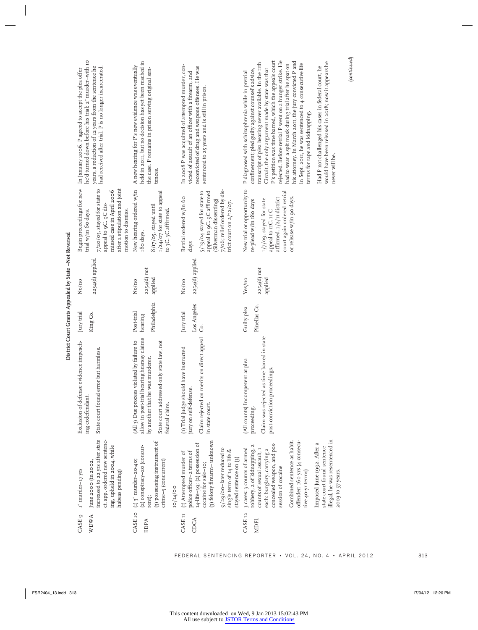District Court Grants Appealed by State-Not Reversed **District Court Grants Appealed by State –Not Reversed**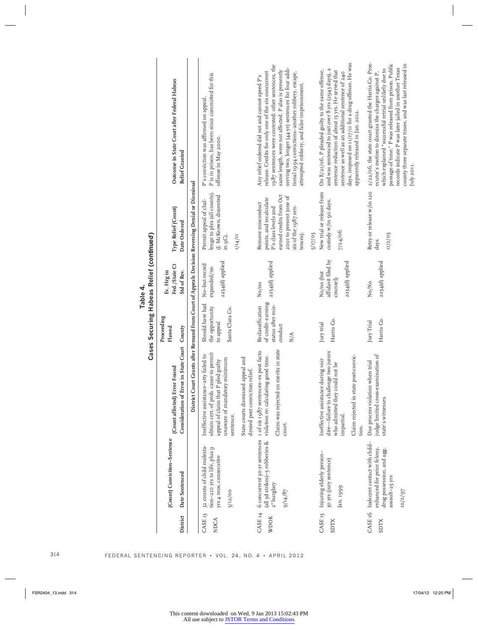|                                          | Outcome in State Court after Federal Habeas<br>Relief Granted         |                                                                                                 | P is in prison, has been since committed for this<br>P's conviction was affirmed on appeal.<br>offense in May 2000.                                                                                                                      | 1987 sentences were contested; other sentences, the<br>serving two, longer (44-yr) sentences for four addi-<br>same length, were not affected. P also is presently<br>release. Credits for only one of the six concurrent<br>tional 1994 convictions-another robbery, escape,<br>Any relief ordered did not and cannot speed P's<br>attempted robbery, and false imprisonment. | days, imposed on 11/17/11 for a drug offense. He was<br>and was sentenced to just over 8 yrs (2943 days), a<br>sentence reduction of about 15 yrs. He served that<br>On 8/21/06, P pleaded guilty to the same offense,<br>sentence as well as an additional sentence of 240<br>apparently released in Jan. 2012. | 2/22/06, the state court granted the Harris Co. Pros-<br>passage of time." P was released from prison. Public<br>county three separate times, and was last released in<br>records indicate P was later jailed in another Texas<br>which explained "successful retrial unlikely due to<br>ecutor's motion to dismiss the charges against P,<br>July 20II. |
|------------------------------------------|-----------------------------------------------------------------------|-------------------------------------------------------------------------------------------------|------------------------------------------------------------------------------------------------------------------------------------------------------------------------------------------------------------------------------------------|--------------------------------------------------------------------------------------------------------------------------------------------------------------------------------------------------------------------------------------------------------------------------------------------------------------------------------------------------------------------------------|------------------------------------------------------------------------------------------------------------------------------------------------------------------------------------------------------------------------------------------------------------------------------------------------------------------|----------------------------------------------------------------------------------------------------------------------------------------------------------------------------------------------------------------------------------------------------------------------------------------------------------------------------------------------------------|
|                                          | Type Relief (Count)<br>Date Ordered                                   |                                                                                                 | lenge to plea (all counts).<br>(J. McKeown, dissented<br>Permit appeal of chal-<br>in 9C).<br>I/I4/II                                                                                                                                    | earned credits from Oct<br>2001 to present (one of<br>points, and recalculate<br>Remove misconduct<br>six of the 1987 sen-<br>P's class levels and<br>tences).                                                                                                                                                                                                                 | New trial or release from<br>custody w/in 90 days.<br>7/24/06<br>5/17/95                                                                                                                                                                                                                                         | Retry or release w/in 120<br>11/2/05<br>days.                                                                                                                                                                                                                                                                                                            |
| Table 4.                                 | Fed./State Ct<br>Std of Rev.<br>Ev. Hrg in                            |                                                                                                 | 2254(d) applied<br>No-but record<br>expanded/no                                                                                                                                                                                          | 2254(d) applied<br>No/no                                                                                                                                                                                                                                                                                                                                                       | affidavit filed by<br>2254(d) applied<br>No/no (but<br>counsel)                                                                                                                                                                                                                                                  | 2254(d) applied<br>No/No                                                                                                                                                                                                                                                                                                                                 |
| Cases Securing Habeas Relief (continued) | Proceeding<br>Flawed<br>County                                        |                                                                                                 | Should have had<br>the opportunity<br>Santa Clara Co.<br>to appeal                                                                                                                                                                       | of credit-earning<br>status after mis-<br>Reclassification<br>conduct<br>$\mathop{\rm N{}}\nolimits/\mathop{\rm A{}}$                                                                                                                                                                                                                                                          | Harris Co.<br>Jury trial                                                                                                                                                                                                                                                                                         | Harris Co.<br>Jury Trial                                                                                                                                                                                                                                                                                                                                 |
|                                          | Consideration of Error in State Court<br>(Count affected) Error Found | District Court Grants after Remand from Court of Appeals Decision Reversing Denial or Dismissal | obtain cert. of prob. cause to permit<br>Ineffective assistance-atty failed to<br>State courts dismissed appeal and<br>unaware of mandatory minimum<br>appeal of claim that P pled guilty<br>denied post conviction relief.<br>sentence. | s in state<br>1 of six 1987 sentences-ex post facto<br>violation re: calculating good time.<br>Claim was rejected on merit<br>court.                                                                                                                                                                                                                                           | dire-failure to challenge two jurors<br>Claim rejected in state post-convic-<br>Ineffective assistance during voir<br>who admitted they could not be<br>impartial.<br>tion.                                                                                                                                      | judge limited cross-examination of<br>Due process violation when trial<br>state's witnesses.                                                                                                                                                                                                                                                             |
|                                          | (Count) Conviction-Sentence<br>Date Sentenced                         |                                                                                                 | 32 counts of child molesta-<br>tion-210 yrs to life, plus 9<br>yrs 4 mos, consecutive<br>5/12/00                                                                                                                                         | 6 concurrent 30-yr sentences<br>(all 3d strikes)-5 robberies &<br>2° burglary<br>9/14/87                                                                                                                                                                                                                                                                                       | Injuring elderly person-<br>30 yrs (jury sentence)<br>Jan. 1999                                                                                                                                                                                                                                                  | Indecent contact with child-<br>enhanced for prior felony,<br>drug possession, and agg.<br>assault-25 yrs<br>10/2/97                                                                                                                                                                                                                                     |
|                                          | District                                                              |                                                                                                 | CASE <sub>I3</sub><br>NDCA                                                                                                                                                                                                               | CASE <sub>14</sub><br>WDOK                                                                                                                                                                                                                                                                                                                                                     | CASE 15<br><b>XLCS</b>                                                                                                                                                                                                                                                                                           | CASE <sub>16</sub><br><b>XLCS</b>                                                                                                                                                                                                                                                                                                                        |

| v<br>I<br>$\sim$ |  |
|------------------|--|
|                  |  |

FSR2404\_13.indd 314 17/04/12 12:20 PM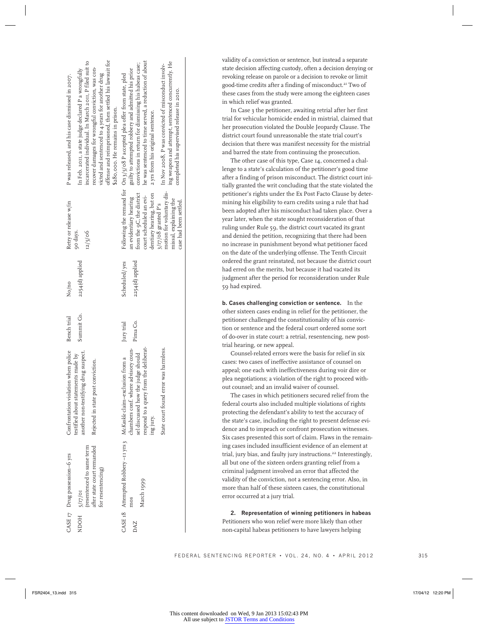| offense and reimprisoned, then settled his lawsuit for<br>incarcerated individual. In March 2011, P filed suit to<br>recover damages for wrongful conviction, was con-<br>In Feb. 2011, a state judge declared P a wrongfully<br>victed and sentenced to 4 years for another drug<br>P was released, and his case dismissed in 2007.<br>\$280,000. He remains in prison. | he was sentenced to time served, a reduction of about<br>ing weapon and attempt, sentenced concurrently. He<br>convictions in return for dismissing his habeas case;<br>In Nov 2008, P was convicted of misconduct involv-<br>guilty to attempted robbery and admitted his prior<br>Following the remand for On 3/5/08 P accepted plea offer from state, pled<br>completed his supervised release in 2010.<br>2 yrs from his original sentence. |
|--------------------------------------------------------------------------------------------------------------------------------------------------------------------------------------------------------------------------------------------------------------------------------------------------------------------------------------------------------------------------|-------------------------------------------------------------------------------------------------------------------------------------------------------------------------------------------------------------------------------------------------------------------------------------------------------------------------------------------------------------------------------------------------------------------------------------------------|
| Retry or release w/in<br>90 days.<br>12/5/06                                                                                                                                                                                                                                                                                                                             | dentiary hearing, but on<br>motion for voluntary dis-<br>from the 9C, the district<br>court scheduled an evi-<br>an evidentiary hearing<br>missal, explaining the<br>case had been settled.<br>$3/17/08$ granted P's                                                                                                                                                                                                                            |
| 2254(d) applied<br>No/no                                                                                                                                                                                                                                                                                                                                                 | 2254(d) applied<br>Scheduled/yes                                                                                                                                                                                                                                                                                                                                                                                                                |
| Summit Co.<br>Bench trial                                                                                                                                                                                                                                                                                                                                                | Pima Co.<br>Jury trial                                                                                                                                                                                                                                                                                                                                                                                                                          |
| Confrontation violation when police<br>suspect.<br>testified about statements made by<br>Rejected in state post conviction.<br>another non-testifying drug                                                                                                                                                                                                               | deliberat-<br>State court found error was harmless.<br>chambers conf. where advisory coun-<br>sel discussed how the judge should<br>CASE 18 Attempted Robbery-11 yrs 3 McKaskle claim-exclusion from a<br>respond to a query from the<br>ing jury.                                                                                                                                                                                              |
| after state court remanded<br>(resentenced to same term<br>CASE 17 Drug possession-6 yrs<br>for resentencing)<br>5/17/01                                                                                                                                                                                                                                                 | March 1999<br>mos                                                                                                                                                                                                                                                                                                                                                                                                                               |
| <b>NDOH</b>                                                                                                                                                                                                                                                                                                                                                              | DAZ                                                                                                                                                                                                                                                                                                                                                                                                                                             |

validity of a conviction or sentence, but instead a separate state decision affecting custody, often a decision denying or revoking release on parole or a decision to revoke or limit good-time credits after a finding of misconduct.21 Two of these cases from the study were among the eighteen cases in which relief was granted.

In Case 3 the petitioner, awaiting retrial after her first trial for vehicular homicide ended in mistrial, claimed that her prosecution violated the Double Jeopardy Clause. The district court found unreasonable the state trial court's decision that there was manifest necessity for the mistrial and barred the state from continuing the prosecution.

The other case of this type, Case 14, concerned a challenge to a state's calculation of the petitioner's good time after a finding of prison misconduct. The district court initially granted the writ concluding that the state violated the petitioner's rights under the Ex Post Facto Clause by determining his eligibility to earn credits using a rule that had been adopted after his misconduct had taken place. Over a year later, when the state sought reconsideration of that ruling under Rule 59, the district court vacated its grant and denied the petition, recognizing that there had been no increase in punishment beyond what petitioner faced on the date of the underlying offense. The Tenth Circuit ordered the grant reinstated, not because the district court had erred on the merits, but because it had vacated its judgment after the period for reconsideration under Rule 59 had expired.

**b. Cases challenging conviction or sentence.** In the other sixteen cases ending in relief for the petitioner, the petitioner challenged the constitutionality of his conviction or sentence and the federal court ordered some sort of do-over in state court: a retrial, resentencing, new posttrial hearing, or new appeal.

Counsel-related errors were the basis for relief in six cases: two cases of ineffective assistance of counsel on appeal; one each with ineffectiveness during voir dire or plea negotiations; a violation of the right to proceed without counsel; and an invalid waiver of counsel.

The cases in which petitioners secured relief from the federal courts also included multiple violations of rights protecting the defendant's ability to test the accuracy of the state's case, including the right to present defense evidence and to impeach or confront prosecution witnesses. Six cases presented this sort of claim. Flaws in the remaining cases included insufficient evidence of an element at trial, jury bias, and faulty jury instructions.<sup>22</sup> Interestingly, all but one of the sixteen orders granting relief from a criminal judgment involved an error that affected the validity of the conviction, not a sentencing error. Also, in more than half of these sixteen cases, the constitutional error occurred at a jury trial.

**2. Representation of winning petitioners in habeas** Petitioners who won relief were more likely than other non-capital habeas petitioners to have lawyers helping

Federal Sentencing Reporter • Vol. 24, No. 4 • April 2012 315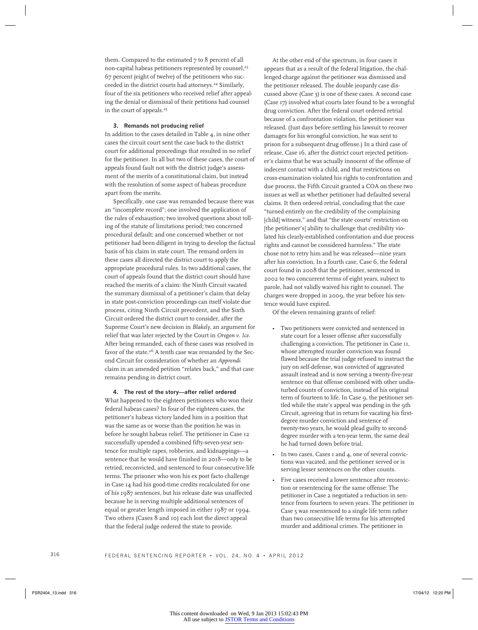them. Compared to the estimated 7 to 8 percent of all non-capital habeas petitioners represented by counsel,<sup>23</sup> 67 percent (eight of twelve) of the petitioners who succeeded in the district courts had attorneys.<sup>24</sup> Similarly, four of the six petitioners who received relief after appealing the denial or dismissal of their petitions had counsel in the court of appeals.<sup>25</sup>

#### **3. Remands not producing relief**

In addition to the cases detailed in Table 4, in nine other cases the circuit court sent the case back to the district court for additional proceedings that resulted in no relief for the petitioner. In all but two of these cases, the court of appeals found fault not with the district judge's assessment of the merits of a constitutional claim, but instead with the resolution of some aspect of habeas procedure apart from the merits.

Specifically, one case was remanded because there was an "incomplete record"; one involved the application of the rules of exhaustion; two involved questions about tolling of the statute of limitations period; two concerned procedural default; and one concerned whether or not petitioner had been diligent in trying to develop the factual basis of his claim in state court. The remand orders in these cases all directed the district court to apply the appropriate procedural rules. In two additional cases, the court of appeals found that the district court should have reached the merits of a claim: the Ninth Circuit vacated the summary dismissal of a petitioner's claim that delay in state post-conviction proceedings can itself violate due process, citing Ninth Circuit precedent, and the Sixth Circuit ordered the district court to consider, after the Supreme Court's new decision in *Blakely*, an argument for relief that was later rejected by the Court in *Oregon v. Ice*. After being remanded, each of these cases was resolved in favor of the state.<sup>26</sup> A tenth case was remanded by the Second Circuit for consideration of whether an *Apprendi* claim in an amended petition "relates back," and that case remains pending in district court.

**4. The rest of the story—after relief ordered** What happened to the eighteen petitioners who won their federal habeas cases? In four of the eighteen cases, the petitioner's habeas victory landed him in a position that was the same as or worse than the position he was in before he sought habeas relief. The petitioner in Case 12 successfully upended a combined fifty-seven-year sentence for multiple rapes, robberies, and kidnappings—a sentence that he would have finished in 2018—only to be retried, reconvicted, and sentenced to four consecutive life terms. The prisoner who won his ex post facto challenge in Case 14 had his good-time credits recalculated for one of his 1987 sentences, but his release date was unaffected because he is serving multiple additional sentences of equal or greater length imposed in either 1987 or 1994. Two others (Cases 8 and 10) each lost the direct appeal that the federal judge ordered the state to provide.

At the other end of the spectrum, in four cases it appears that as a result of the federal litigation, the challenged charge against the petitioner was dismissed and the petitioner released. The double jeopardy case discussed above (Case 3) is one of these cases. A second case (Case 17) involved what courts later found to be a wrongful drug conviction. After the federal court ordered retrial because of a confrontation violation, the petitioner was released. (Just days before settling his lawsuit to recover damages for his wrongful conviction, he was sent to prison for a subsequent drug offense.) In a third case of release, Case 16, after the district court rejected petitioner's claims that he was actually innocent of the offense of indecent contact with a child, and that restrictions on cross-examination violated his rights to confrontation and due process, the Fifth Circuit granted a COA on these two issues as well as whether petitioner had defaulted several claims. It then ordered retrial, concluding that the case "turned entirely on the credibility of the complaining [child] witness," and that "the state courts' restriction on [the petitioner's] ability to challenge that credibility violated his clearly-established confrontation and due process rights and cannot be considered harmless." The state chose not to retry him and he was released—nine years after his conviction. In a fourth case, Case 6, the federal court found in 2008 that the petitioner, sentenced in 2002 to two concurrent terms of eight years, subject to parole, had not validly waived his right to counsel. The charges were dropped in 2009, the year before his sentence would have expired.

Of the eleven remaining grants of relief:

- Two petitioners were convicted and sentenced in state court for a lesser offense after successfully challenging a conviction. The petitioner in Case 11, whose attempted murder conviction was found flawed because the trial judge refused to instruct the jury on self-defense, was convicted of aggravated assault instead and is now serving a twenty-five-year sentence on that offense combined with other undisturbed counts of conviction, instead of his original term of fourteen to life. In Case 9, the petitioner settled while the state's appeal was pending in the 9th Circuit, agreeing that in return for vacating his firstdegree murder conviction and sentence of twenty-two years, he would plead guilty to seconddegree murder with a ten-year term, the same deal he had turned down before trial.
- In two cases, Cases 1 and 4, one of several convictions was vacated, and the petitioner served or is serving lesser sentences on the other counts.
- Five cases received a lower sentence after reconviction or resentencing for the same offense: The petitioner in Case 2 negotiated a reduction in sentence from fourteen to seven years. The petitioner in Case 5 was resentenced to a single life term rather than two consecutive life terms for his attempted murder and additional crimes. The petitioner in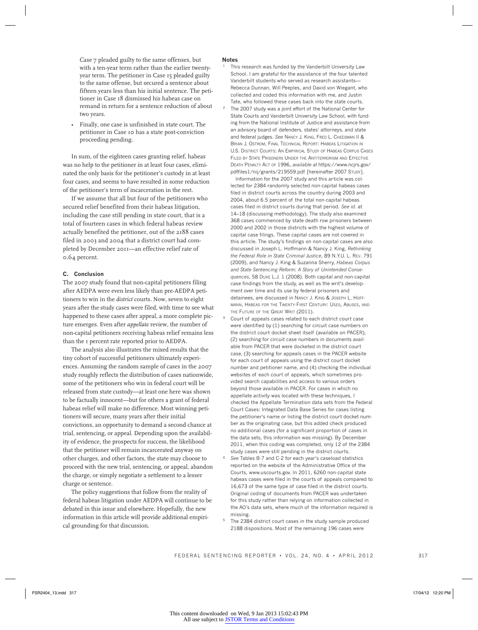Case 7 pleaded guilty to the same offenses, but with a ten-year term rather than the earlier twentyyear term. The petitioner in Case 15 pleaded guilty to the same offense, but secured a sentence about fifteen years less than his initial sentence. The petitioner in Case 18 dismissed his habeas case on remand in return for a sentence reduction of about two years.

• Finally, one case is unfinished in state court. The petitioner in Case 10 has a state post-conviction proceeding pending.

In sum, of the eighteen cases granting relief, habeas was no help to the petitioner in at least four cases, eliminated the only basis for the petitioner's custody in at least four cases, and seems to have resulted in some reduction of the petitioner's term of incarceration in the rest.

If we assume that all but four of the petitioners who secured relief benefited from their habeas litigation, including the case still pending in state court, that is a total of fourteen cases in which federal habeas review actually benefited the petitioner, out of the 2188 cases filed in 2003 and 2004 that a district court had completed by December 2011—an effective relief rate of 0.64 percent.

#### **C. Conclusion**

The 2007 study found that non-capital petitioners filing after AEDPA were even less likely than pre-AEDPA petitioners to win in the *district* courts. Now, seven to eight years after the study cases were filed, with time to see what happened to these cases after appeal, a more complete picture emerges. Even after *appellate* review, the number of non-capital petitioners receiving habeas relief remains less than the 1 percent rate reported prior to AEDPA.

The analysis also illustrates the mixed results that the tiny cohort of successful petitioners ultimately experiences. Assuming the random sample of cases in the 2007 study roughly reflects the distribution of cases nationwide, some of the petitioners who win in federal court will be released from state custody—at least one here was shown to be factually innocent—but for others a grant of federal habeas relief will make no difference. Most winning petitioners will secure, many years after their initial convictions, an opportunity to demand a second chance at trial, sentencing, or appeal. Depending upon the availability of evidence, the prospects for success, the likelihood that the petitioner will remain incarcerated anyway on other charges, and other factors, the state may choose to proceed with the new trial, sentencing, or appeal, abandon the charge, or simply negotiate a settlement to a lesser charge or sentence.

The policy suggestions that follow from the reality of federal habeas litigation under AEDPA will continue to be debated in this issue and elsewhere. Hopefully, the new information in this article will provide additional empirical grounding for that discussion.

#### **Notes**

- This research was funded by the Vanderbilt University Law School. I am grateful for the assistance of the four talented Vanderbilt students who served as research assistants— Rebecca Dunnan, Will Peeples, and David von Wiegant, who collected and coded this information with me, and Justin Tate, who followed these cases back into the state courts.
- <sup>2</sup> The 2007 study was a joint effort of the National Center for State Courts and Vanderbilt University Law School, with funding from the National Institute of Justice and assistance from an advisory board of defenders, states' attorneys, and state and federal judges. *See* Nancy J. King, Fred L. Cheesman II & Brian J. Ostrom, Final Technical Report: Habeas Litigation in U.S. District Courts: An Empirical Study of Habeas Corpus Cases FILED BY STATE PRISONERS UNDER THE ANTITERRORISM AND EFFECTIVE Death Penalty Act of 1996, *available at* https://www.ncjrs.gov/ pdffiles1/nij/grants/219559.pdf [hereinafter 2007 STUDY].

 Information for the 2007 study and this article was collected for 2384 randomly selected non-capital habeas cases filed in district courts across the country during 2003 and 2004, about 6.5 percent of the total non-capital habeas cases filed in district courts during that period. *See id*. at 14–18 (discussing methodology). The study also examined 368 cases commenced by state death row prisoners between 2000 and 2002 in those districts with the highest volume of capital case filings. These capital cases are not covered in this article. The study's findings on non-capital cases are also discussed in Joseph L. Hoffmann & Nancy J. King, *Rethinking the Federal Role in State Criminal Justice*, 89 N.Y.U. L. Rev. 791 (2009), and Nancy J. King & Suzanna Sherry, *Habeas Corpus and State Sentencing Reform: A Story of Unintended Consequences*, 58 Duke L.J. 1 (2008). Both capital and non-capital case findings from the study, as well as the writ's development over time and its use by federal prisoners and detainees, are discussed in Nancy J. King & Joseph L. Hoffmann, Habeas for the Twenty-First Century: Uses, Abuses, and THE FUTURE OF THE GREAT WRIT (2011).

- Court of appeals cases related to each district court case were identified by (1) searching for circuit case numbers on the district court docket sheet itself (available on PACER), (2) searching for circuit case numbers in documents available from PACER that were docketed in the district court case, (3) searching for appeals cases in the PACER website for each court of appeals using the district court docket number and petitioner name, and (4) checking the individual websites of each court of appeals, which sometimes provided search capabilities and access to various orders beyond those available in PACER. For cases in which no appellate activity was located with these techniques, I checked the Appellate Termination data sets from the Federal Court Cases: Integrated Data Base Series for cases listing the petitioner's name or listing the district court docket number as the originating case, but this added check produced no additional cases (for a significant proportion of cases in the data sets, this information was missing). By December 2011, when this coding was completed, only 12 of the 2384 study cases were still pending in the district courts.
- <sup>4</sup> *See* Tables B-7 and C-2 for each year's caseload statistics reported on the website of the Administrative Office of the Courts, www.uscourts.gov. In 2011, 6260 non-capital state habeas cases were filed in the courts of appeals compared to 16,673 of the same type of case filed in the district courts. Original coding of documents from PACER was undertaken for this study rather than relying on information collected in the AO's data sets, where much of the information required is missing.
- The 2384 district court cases in the study sample produced 2188 dispositions. Most of the remaining 196 cases were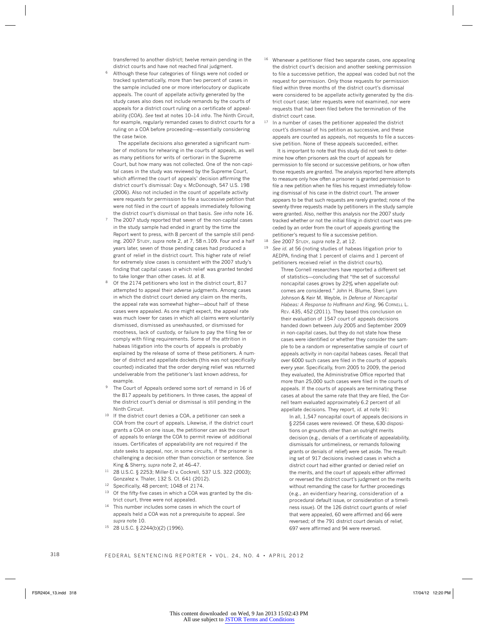transferred to another district; twelve remain pending in the district courts and have not reached final judgment.

Although these four categories of filings were not coded or tracked systematically, more than two percent of cases in the sample included one or more interlocutory or duplicate appeals. The count of appellate activity generated by the study cases also does not include remands by the courts of appeals for a district court ruling on a certificate of appealability (COA). *See* text at notes 10–14 *infra*. The Ninth Circuit, for example, regularly remanded cases to district courts for a ruling on a COA before proceeding—essentially considering the case twice.

 The appellate decisions also generated a significant number of motions for rehearing in the courts of appeals, as well as many petitions for writs of certiorari in the Supreme Court, but how many was not collected. One of the non-capital cases in the study was reviewed by the Supreme Court, which affirmed the court of appeals' decision affirming the district court's dismissal: Day v. McDonough, 547 U.S. 198 (2006). Also not included in the count of appellate activity were requests for permission to file a successive petition that were not filed in the court of appeals immediately following the district court's dismissal on that basis. *See infra* note 16.

- The 2007 study reported that seven of the non-capital cases in the study sample had ended in grant by the time the Report went to press, with 8 percent of the sample still pending. 2007 STUDY, *supra* note 2, at 7, 58 n.109. Four and a half years later, seven of those pending cases had produced a grant of relief in the district court. This higher rate of relief for extremely slow cases is consistent with the 2007 study's finding that capital cases in which relief was granted tended to take longer than other cases. *Id.* at 8.
- Of the 2174 petitioners who lost in the district court, 817 attempted to appeal their adverse judgments. Among cases in which the district court denied any claim on the merits, the appeal rate was somewhat higher—about half of these cases were appealed. As one might expect, the appeal rate was much lower for cases in which all claims were voluntarily dismissed, dismissed as unexhausted, or dismissed for mootness, lack of custody, or failure to pay the filing fee or comply with filing requirements. Some of the attrition in habeas litigation into the courts of appeals is probably explained by the release of some of these petitioners. A number of district and appellate dockets (this was not specifically counted) indicated that the order denying relief was returned undeliverable from the petitioner's last known address, for example.
- The Court of Appeals ordered some sort of remand in 16 of the 817 appeals by petitioners. In three cases, the appeal of the district court's denial or dismissal is still pending in the Ninth Circuit.
- <sup>10</sup> If the district court denies a COA, a petitioner can seek a COA from the court of appeals. Likewise, if the district court grants a COA on one issue, the petitioner can ask the court of appeals to enlarge the COA to permit review of additional issues. Certificates of appealability are not required if the *state* seeks to appeal, nor, in some circuits, if the prisoner is challenging a decision other than conviction or sentence. *See* King & Sherry, *supra* note 2, at 46–47.
- <sup>11</sup> 28 U.S.C. § 2253; Miller-El v. Cockrell, 537 U.S. 322 (2003); Gonzalez v. Thaler, 132 S. Ct. 641 (2012).
- <sup>12</sup> Specifically, 48 percent; 1048 of 2174.
- <sup>13</sup> Of the fifty-five cases in which a COA was granted by the district court, three were not appealed.
- 14 This number includes some cases in which the court of appeals held a COA was not a prerequisite to appeal. *See supra* note 10.
- <sup>15</sup> 28 U.S.C. § 2244(b)(2) (1996).
- $16$  Whenever a petitioner filed two separate cases, one appealing the district court's decision and another seeking permission to file a successive petition, the appeal was coded but not the request for permission. Only those requests for permission filed within three months of the district court's dismissal were considered to be appellate activity generated by the district court case; later requests were not examined, nor were requests that had been filed before the termination of the district court case.
	- In a number of cases the petitioner appealed the district court's dismissal of his petition as successive, and these appeals are counted as appeals, not requests to file a successive petition. None of these appeals succeeded, either.

 It is important to note that this study did not seek to determine how often prisoners ask the court of appeals for permission to file second or successive petitions, or how often those requests are granted. The analysis reported here attempts to measure only how often a prisoner is granted permission to file a new petition when he files his request immediately following dismissal of his case in the district court. The answer appears to be that such requests are rarely granted; none of the seventy-three requests made by petitioners in the study sample were granted. Also, neither this analysis nor the 2007 study tracked whether or not the initial filing in district court was preceded by an order from the court of appeals granting the petitioner's request to file a successive petition.

<sup>18</sup> *See* 2007 Study, *supra* note 2, at 12.

<sup>19</sup> *See id.* at 56 (noting studies of habeas litigation prior to AEDPA, finding that 1 percent of claims and 1 percent of petitioners received relief in the district courts).

Three Cornell researchers have reported a different set of statistics—concluding that "the set of successful noncapital cases grows by 22% when appellate outcomes are considered." John H. Blume, Sheri Lynn Johnson & Keir M. Weyble, *In Defense of Noncapital Habeas: A Response to Hoffmann and King,* 96 Cornell L. Rev. 435, 452 (2011). They based this conclusion on their evaluation of 1547 court of appeals decisions handed down between July 2005 and September 2009 in non-capital cases, but they do not state how these cases were identified or whether they consider the sample to be a random or representative sample of court of appeals activity in non-capital habeas cases. Recall that over 6000 such cases are filed in the courts of appeals every year. Specifically, from 2005 to 2009, the period they evaluated, the Administrative Office reported that more than 25,000 such cases were filed in the courts of appeals. If the courts of appeals are terminating these cases at about the same rate that they are filed, the Cornell team evaluated approximately 6.2 percent of all appellate decisions. They report, *id.* at note 91:

 In all, 1,547 noncapital court of appeals decisions in § 2254 cases were reviewed. Of these, 630 dispositions on grounds other than an outright merits decision (e.g., denials of a certificate of appealability, dismissals for untimeliness, or remands following grants or denials of relief) were set aside. The resulting set of 917 decisions involved cases in which a district court had either granted or denied relief on the merits, and the court of appeals either affirmed or reversed the district court's judgment on the merits without remanding the case for further proceedings (e.g., an evidentiary hearing, consideration of a procedural default issue, or consideration of a timeliness issue). Of the 126 district court grants of relief that were appealed, 60 were affirmed and 66 were reversed; of the 791 district court denials of relief, 697 were affirmed and 94 were reversed.

318 Federal Sentencing Reporter • Vol. 24, No. 4 • April 2012